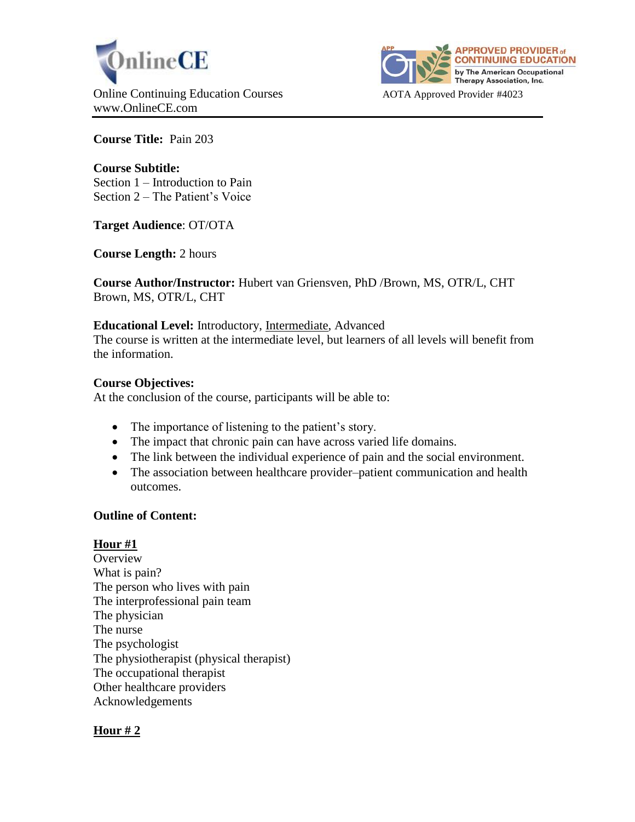



**Course Title:** Pain 203

## **Course Subtitle:**

Section 1 – Introduction to Pain Section 2 – The Patient's Voice

**Target Audience**: OT/OTA

**Course Length:** 2 hours

**Course Author/Instructor:** Hubert van Griensven, PhD /Brown, MS, OTR/L, CHT Brown, MS, OTR/L, CHT

#### **Educational Level:** Introductory, Intermediate, Advanced

The course is written at the intermediate level, but learners of all levels will benefit from the information.

#### **Course Objectives:**

At the conclusion of the course, participants will be able to:

- The importance of listening to the patient's story.
- The impact that chronic pain can have across varied life domains.
- The link between the individual experience of pain and the social environment.
- The association between healthcare provider–patient communication and health outcomes.

#### **Outline of Content:**

## **Hour #1**

**Overview** What is pain? The person who lives with pain The interprofessional pain team The physician The nurse The psychologist The physiotherapist (physical therapist) The occupational therapist Other healthcare providers Acknowledgements

## **Hour # 2**